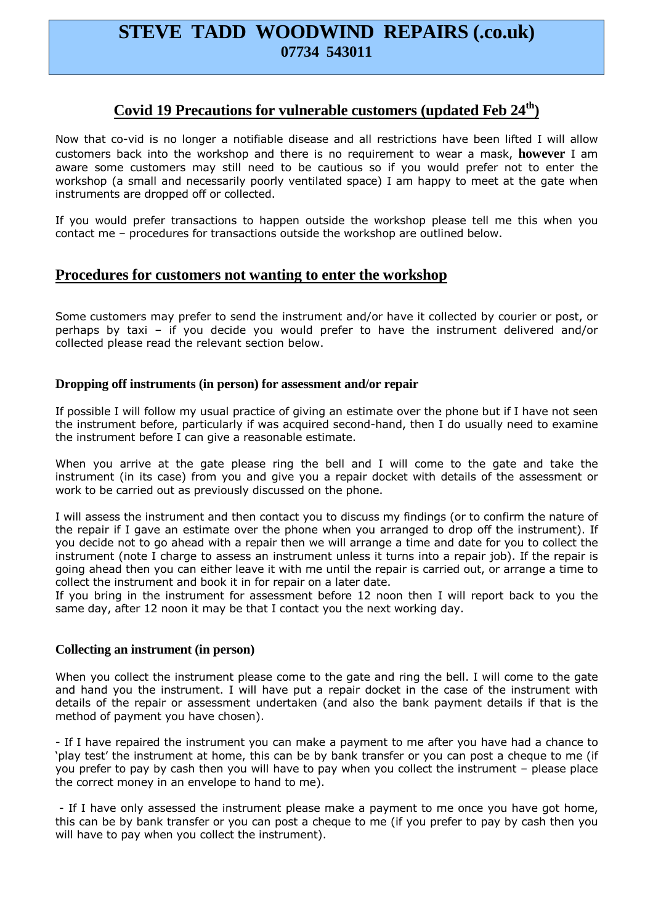# **STEVE TADD WOODWIND REPAIRS (.co.uk) 07734 543011**

## **Covid 19 Precautions for vulnerable customers (updated Feb 24th)**

Now that co-vid is no longer a notifiable disease and all restrictions have been lifted I will allow customers back into the workshop and there is no requirement to wear a mask, **however** I am aware some customers may still need to be cautious so if you would prefer not to enter the workshop (a small and necessarily poorly ventilated space) I am happy to meet at the gate when instruments are dropped off or collected.

If you would prefer transactions to happen outside the workshop please tell me this when you contact me – procedures for transactions outside the workshop are outlined below.

### **Procedures for customers not wanting to enter the workshop**

Some customers may prefer to send the instrument and/or have it collected by courier or post, or perhaps by taxi – if you decide you would prefer to have the instrument delivered and/or collected please read the relevant section below.

#### **Dropping off instruments (in person) for assessment and/or repair**

If possible I will follow my usual practice of giving an estimate over the phone but if I have not seen the instrument before, particularly if was acquired second-hand, then I do usually need to examine the instrument before I can give a reasonable estimate.

When you arrive at the gate please ring the bell and I will come to the gate and take the instrument (in its case) from you and give you a repair docket with details of the assessment or work to be carried out as previously discussed on the phone.

I will assess the instrument and then contact you to discuss my findings (or to confirm the nature of the repair if I gave an estimate over the phone when you arranged to drop off the instrument). If you decide not to go ahead with a repair then we will arrange a time and date for you to collect the instrument (note I charge to assess an instrument unless it turns into a repair job). If the repair is going ahead then you can either leave it with me until the repair is carried out, or arrange a time to collect the instrument and book it in for repair on a later date.

If you bring in the instrument for assessment before 12 noon then I will report back to you the same day, after 12 noon it may be that I contact you the next working day.

#### **Collecting an instrument (in person)**

When you collect the instrument please come to the gate and ring the bell. I will come to the gate and hand you the instrument. I will have put a repair docket in the case of the instrument with details of the repair or assessment undertaken (and also the bank payment details if that is the method of payment you have chosen).

- If I have repaired the instrument you can make a payment to me after you have had a chance to 'play test' the instrument at home, this can be by bank transfer or you can post a cheque to me (if you prefer to pay by cash then you will have to pay when you collect the instrument – please place the correct money in an envelope to hand to me).

 - If I have only assessed the instrument please make a payment to me once you have got home, this can be by bank transfer or you can post a cheque to me (if you prefer to pay by cash then you will have to pay when you collect the instrument).